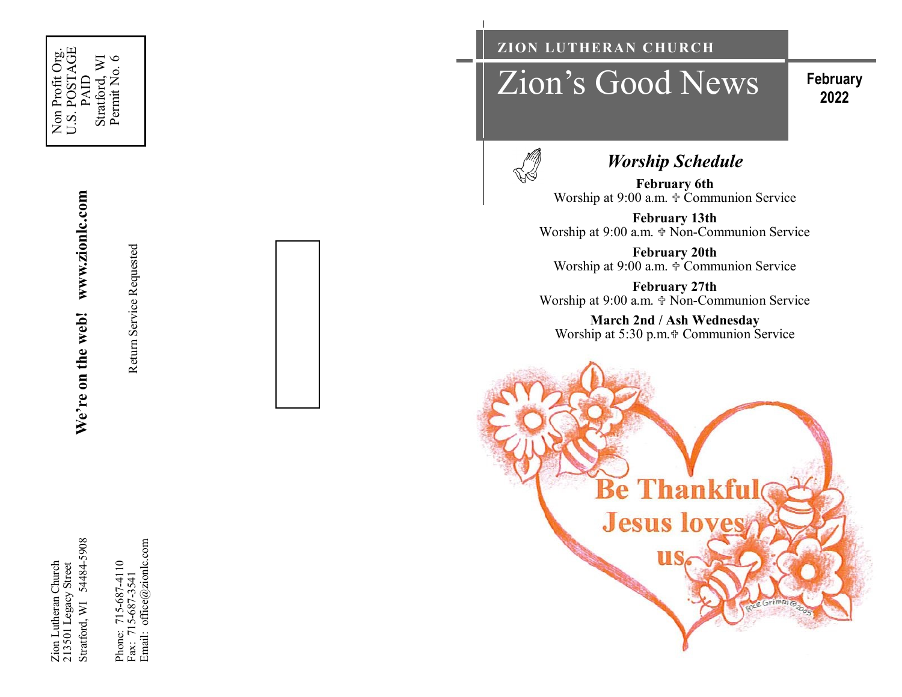Zion Lutheran Church<br>213501 Legacy Street<br>Stratford, W1 54484-5908 Zion Lutheran Church 213501 Legacy Street

Phone: 715-687-4110<br>Fax: 715-687-3541<br>Email: office@zionlc.com Email: office@zionlc.com Phone: 715-687-4110 Fax: 715-687-3541

We're on the web! www.zionlc.com Stratford, WI 54484-5908 **We're on the web! www.zionlc.com**

Non Profit Org. U.S. POSTAGE

PAID<br>Stratford, WI Stratford, WI Permit No. 6

 $\circ$ 

Permit No.

Return Service Requested Return Service Requested



#### **ZION LUTHERAN CHURCH**

# Zion's Good News February



### *Worship Schedule*

**February 6th** Worship at 9:00 a.m. Communion Service

**February 13th** Worship at 9:00 a.m.  $\oplus$  Non-Communion Service

**February 20th** Worship at 9:00 a.m. Communion Service

**February 27th** Worship at 9:00 a.m.  $\oplus$  Non-Communion Service

**March 2nd / Ash Wednesday** Worship at 5:30 p.m. Communion Service

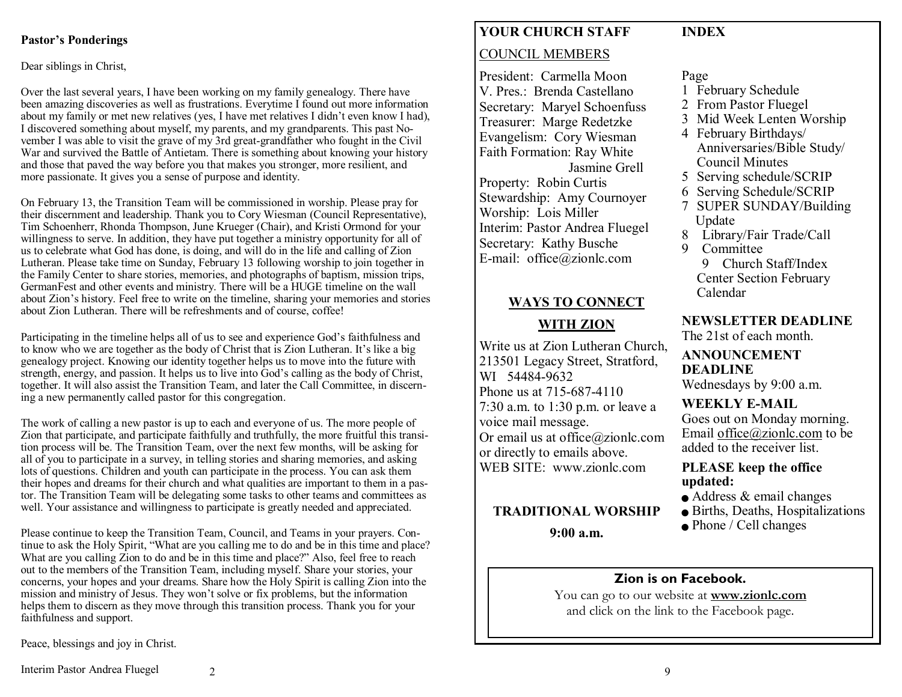#### **Pastor's Ponderings**

Dear siblings in Christ,

Over the last several years, I have been working on my family genealogy. There have been amazing discoveries as well as frustrations. Everytime I found out more information about my family or met new relatives (yes, I have met relatives I didn't even know I had), I discovered something about myself, my parents, and my grandparents. This past November I was able to visit the grave of my 3rd great-grandfather who fought in the Civil War and survived the Battle of Antietam. There is something about knowing your history and those that paved the way before you that makes you stronger, more resilient, and more passionate. It gives you a sense of purpose and identity.

On February 13, the Transition Team will be commissioned in worship. Please pray for their discernment and leadership. Thank you to Cory Wiesman (Council Representative), Tim Schoenherr, Rhonda Thompson, June Krueger (Chair), and Kristi Ormond for your willingness to serve. In addition, they have put together a ministry opportunity for all of us to celebrate what God has done, is doing, and will do in the life and calling of Zion Lutheran. Please take time on Sunday, February 13 following worship to join together in the Family Center to share stories, memories, and photographs of baptism, mission trips, GermanFest and other events and ministry. There will be a HUGE timeline on the wall about Zion's history. Feel free to write on the timeline, sharing your memories and stories about Zion Lutheran. There will be refreshments and of course, coffee!

Participating in the timeline helps all of us to see and experience God's faithfulness and to know who we are together as the body of Christ that is Zion Lutheran. It's like a big genealogy project. Knowing our identity together helps us to move into the future with strength, energy, and passion. It helps us to live into God's calling as the body of Christ, together. It will also assist the Transition Team, and later the Call Committee, in discerning a new permanently called pastor for this congregation.

The work of calling a new pastor is up to each and everyone of us. The more people of Zion that participate, and participate faithfully and truthfully, the more fruitful this transition process will be. The Transition Team, over the next few months, will be asking for all of you to participate in a survey, in telling stories and sharing memories, and asking lots of questions. Children and youth can participate in the process. You can ask them their hopes and dreams for their church and what qualities are important to them in a pastor. The Transition Team will be delegating some tasks to other teams and committees as well. Your assistance and willingness to participate is greatly needed and appreciated.

Please continue to keep the Transition Team, Council, and Teams in your prayers. Continue to ask the Holy Spirit, "What are you calling me to do and be in this time and place? What are you calling Zion to do and be in this time and place?" Also, feel free to reach out to the members of the Transition Team, including myself. Share your stories, your concerns, your hopes and your dreams. Share how the Holy Spirit is calling Zion into the mission and ministry of Jesus. They won't solve or fix problems, but the information helps them to discern as they move through this transition process. Thank you for your faithfulness and support.

Peace, blessings and joy in Christ.

**YOUR CHURCH STAFF** 

#### COUNCIL MEMBERS

President: Carmella Moon V. Pres.: Brenda Castellano Secretary: Maryel Schoenfuss Treasurer: Marge Redetzke Evangelism: Cory Wiesman Faith Formation: Ray White Jasmine Grell Property: Robin Curtis Stewardship: Amy Cournoyer Worship: Lois Miller Interim: Pastor Andrea Fluegel Secretary: Kathy Busche E-mail: office@zionlc.com

#### **WAYS TO CONNECT WITH ZION**

Write us at Zion Lutheran Church, 213501 Legacy Street, Stratford, WI 54484-9632 Phone us at 715-687-4110 7:30 a.m. to 1:30 p.m. or leave a voice mail message. Or email us at office@zionlc.com or directly to emails above. WEB SITE: www.zionlc.com

# **TRADITIONAL WORSHIP**

**9:00 a.m.**

#### **INDEX**

#### Page

- 1 February Schedule
- 2 From Pastor Fluegel
- 3 Mid Week Lenten Worship
- 4 February Birthdays/ Anniversaries/Bible Study/ Council Minutes
- 5 Serving schedule/SCRIP
- 6 Serving Schedule/SCRIP
- 7 SUPER SUNDAY/Building Update
- 8 Library/Fair Trade/Call
- 9 Committee 9 Church Staff/Index Center Section February Calendar

**NEWSLETTER DEADLINE** 

The 21st of each month.

#### **ANNOUNCEMENT DEADLINE**

Wednesdays by 9:00 a.m.

#### **WEEKLY E-MAIL**

Goes out on Monday morning. Email office@zionlc.com to be added to the receiver list.

#### **PLEASE keep the office updated:**

- Address & email changes
- Births, Deaths, Hospitalizations
- Phone / Cell changes

#### **Zion is on Facebook.**

You can go to our website at **www.zionlc.com**  and click on the link to the Facebook page.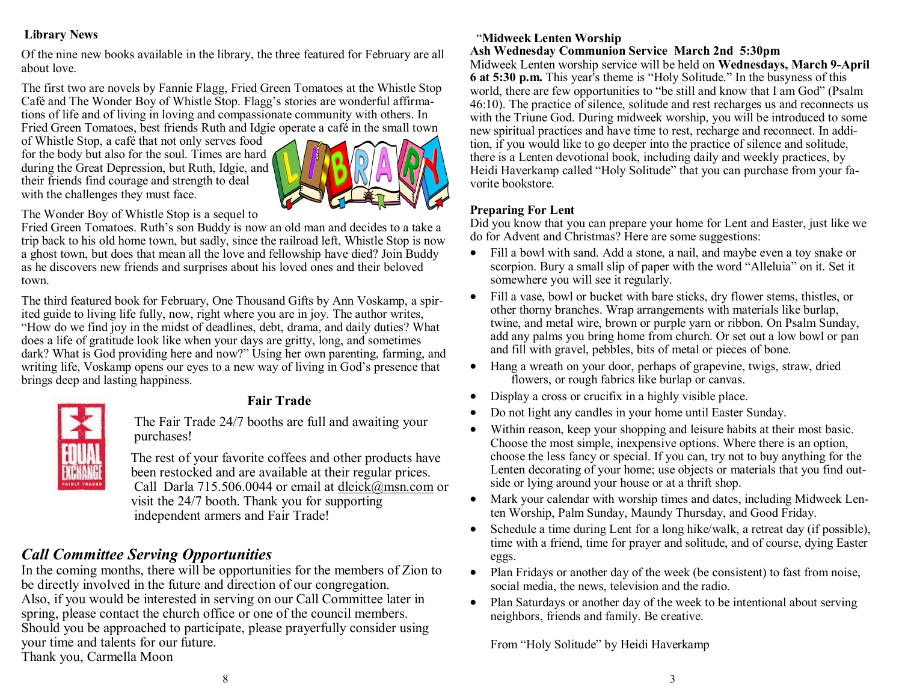#### **Library News**

Of the nine new books available in the library, the three featured for February are all about love.

The first two are novels by Fannie Flagg, Fried Green Tomatoes at the Whistle Stop Café and The Wonder Boy of Whistle Stop. Flagg's stories are wonderful affirmations of life and of living in loving and compassionate community with others. In Fried Green Tomatoes, best friends Ruth and Idgie operate a café in the small town

of Whistle Stop, a café that not only serves food for the body but also for the soul. Times are hard during the Great Depression, but Ruth, Idgie, and their friends find courage and strength to deal with the challenges they must face.



The Wonder Boy of Whistle Stop is a sequel to

Fried Green Tomatoes. Ruth's son Buddy is now an old man and decides to a take a trip back to his old home town, but sadly, since the railroad left, Whistle Stop is now a ghost town, but does that mean all the love and fellowship have died? Join Buddy as he discovers new friends and surprises about his loved ones and their beloved town.

The third featured book for February, One Thousand Gifts by Ann Voskamp, a spirited guide to living life fully, now, right where you are in joy. The author writes, "How do we find joy in the midst of deadlines, debt, drama, and daily duties? What does a life of gratitude look like when your days are gritty, long, and sometimes dark? What is God providing here and now?" Using her own parenting, farming, and writing life, Voskamp opens our eyes to a new way of living in God's presence that brings deep and lasting happiness.



#### **Fair Trade**

 The Fair Trade 24/7 booths are full and awaiting your purchases!

 The rest of your favorite coffees and other products have been restocked and are available at their regular prices. Call Darla 715.506.0044 or email at [dleick@msn.com](mailto:dleick@msn.com) or visit the 24/7 booth. Thank you for supporting independent armers and Fair Trade!

#### *Call Committee Serving Opportunities*

In the coming months, there will be opportunities for the members of Zion to be directly involved in the future and direction of our congregation. Also, if you would be interested in serving on our Call Committee later in spring, please contact the church office or one of the council members. Should you be approached to participate, please prayerfully consider using your time and talents for our future. Thank you, Carmella Moon

#### "**Midweek Lenten Worship**

#### **Ash Wednesday Communion Service March 2nd 5:30pm**

Midweek Lenten worship service will be held on **Wednesdays, March 9-April 6 at 5:30 p.m.** This year's theme is "Holy Solitude." In the busyness of this world, there are few opportunities to "be still and know that I am God" (Psalm 46:10). The practice of silence, solitude and rest recharges us and reconnects us with the Triune God. During midweek worship, you will be introduced to some new spiritual practices and have time to rest, recharge and reconnect. In addition, if you would like to go deeper into the practice of silence and solitude, there is a Lenten devotional book, including daily and weekly practices, by Heidi Haverkamp called "Holy Solitude" that you can purchase from your favorite bookstore.

#### **Preparing For Lent**

Did you know that you can prepare your home for Lent and Easter, just like we do for Advent and Christmas? Here are some suggestions:

- Fill a bowl with sand. Add a stone, a nail, and maybe even a toy snake or scorpion. Bury a small slip of paper with the word "Alleluia" on it. Set it somewhere you will see it regularly.
- Fill a vase, bowl or bucket with bare sticks, dry flower stems, thistles, or other thorny branches. Wrap arrangements with materials like burlap, twine, and metal wire, brown or purple yarn or ribbon. On Psalm Sunday, add any palms you bring home from church. Or set out a low bowl or pan and fill with gravel, pebbles, bits of metal or pieces of bone.
- Hang a wreath on your door, perhaps of grapevine, twigs, straw, dried flowers, or rough fabrics like burlap or canvas.
- Display a cross or crucifix in a highly visible place.
- Do not light any candles in your home until Easter Sunday.
- Within reason, keep your shopping and leisure habits at their most basic. Choose the most simple, inexpensive options. Where there is an option, choose the less fancy or special. If you can, try not to buy anything for the Lenten decorating of your home; use objects or materials that you find outside or lying around your house or at a thrift shop.
- Mark your calendar with worship times and dates, including Midweek Lenten Worship, Palm Sunday, Maundy Thursday, and Good Friday.
- Schedule a time during Lent for a long hike/walk, a retreat day (if possible), time with a friend, time for prayer and solitude, and of course, dying Easter eggs.
- Plan Fridays or another day of the week (be consistent) to fast from noise, social media, the news, television and the radio.
- Plan Saturdays or another day of the week to be intentional about serving neighbors, friends and family. Be creative.

From "Holy Solitude" by Heidi Haverkamp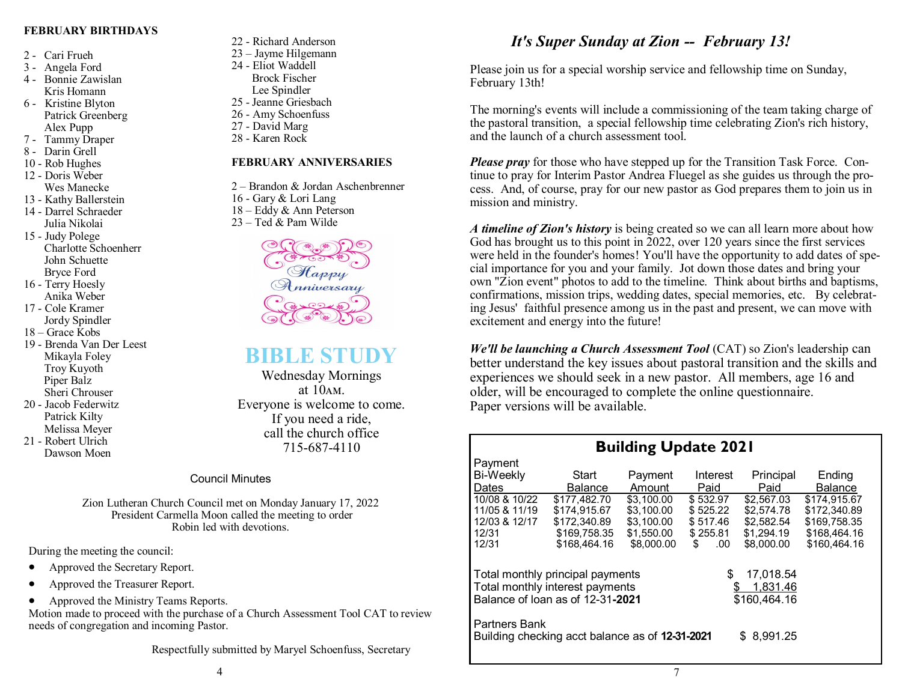#### **FEBRUARY BIRTHDAYS**

- 2 Cari Frueh
- 3 Angela Ford
- 4 Bonnie Zawislan Kris Homann
- 6 Kristine Blyton Patrick Greenberg Alex Pupp
- 7 Tammy Draper
- 8 Darin Grell
- 10 Rob Hughes
- 12 Doris Weber Wes Manecke
- 13 Kathy Ballerstein
- 14 Darrel Schraeder Julia Nikolai
- 15 Judy Polege Charlotte Schoenherr John Schuette Bryce Ford
- 16 Terry Hoesly Anika Weber
- 17 Cole Kramer Jordy Spindler
- 18 Grace Kobs
- 19 Brenda Van Der Leest Mikayla Foley Troy Kuyoth Piper Balz Sheri Chrouser
- 20 Jacob Federwitz Patrick Kilty Melissa Meyer
- 21 Robert Ulrich
- 22 Richard Anderson
- 23 Jayme Hilgemann
- 24 Eliot Waddell
	- Brock Fischer
	- Lee Spindler
- 25 Jeanne Griesbach 26 - Amy Schoenfuss
- 27 David Marg
- 28 Karen Rock
- 

#### **FEBRUARY ANNIVERSARIES**

- 2 Brandon & Jordan Aschenbrenner
- 16 Gary & Lori Lang
- 18 Eddy & Ann Peterson
- 23 Ted & Pam Wilde



## **BIBLE STUDY**

Wednesday Mornings at 10am. Everyone is welcome to come. If you need a ride, call the church office 715-687-4110

#### Council Minutes

During the meeting the council:

- Approved the Secretary Report.
- Approved the Treasurer Report.
- Approved the Ministry Teams Reports.

#### *It's Super Sunday at Zion -- February 13!*

Please join us for a special worship service and fellowship time on Sunday, February 13th!

The morning's events will include a commissioning of the team taking charge of the pastoral transition, a special fellowship time celebrating Zion's rich history, and the launch of a church assessment tool.

*Please pray* for those who have stepped up for the Transition Task Force. Continue to pray for Interim Pastor Andrea Fluegel as she guides us through the process. And, of course, pray for our new pastor as God prepares them to join us in mission and ministry.

*A timeline of Zion's history* is being created so we can all learn more about how God has brought us to this point in 2022, over 120 years since the first services were held in the founder's homes! You'll have the opportunity to add dates of special importance for you and your family. Jot down those dates and bring your own "Zion event" photos to add to the timeline. Think about births and baptisms, confirmations, mission trips, wedding dates, special memories, etc. By celebrating Jesus' faithful presence among us in the past and present, we can move with excitement and energy into the future!

*We'll be launching a Church Assessment Tool* (CAT) so Zion's leadership can better understand the key issues about pastoral transition and the skills and experiences we should seek in a new pastor. All members, age 16 and older, will be encouraged to complete the online questionnaire. Paper versions will be available.

| ічіспээа ічісусі                                                                                                                                                                                                                                                                                  | call the church office |                                                                                |                |            |               |              |                |  |
|---------------------------------------------------------------------------------------------------------------------------------------------------------------------------------------------------------------------------------------------------------------------------------------------------|------------------------|--------------------------------------------------------------------------------|----------------|------------|---------------|--------------|----------------|--|
| Robert Ulrich<br>Dawson Moen                                                                                                                                                                                                                                                                      | 715-687-4110           | <b>Building Update 2021</b>                                                    |                |            |               |              |                |  |
|                                                                                                                                                                                                                                                                                                   |                        | Payment                                                                        |                |            |               |              |                |  |
| <b>Council Minutes</b>                                                                                                                                                                                                                                                                            |                        | <b>Bi-Weekly</b>                                                               | Start          | Payment    | Interest      | Principal    | Ending         |  |
|                                                                                                                                                                                                                                                                                                   |                        | Dates                                                                          | <b>Balance</b> | Amount     | Paid          | Paid         | <b>Balance</b> |  |
| Zion Lutheran Church Council met on Monday January 17, 2022<br>President Carmella Moon called the meeting to order<br>Robin led with devotions.                                                                                                                                                   |                        | 10/08 & 10/22                                                                  | \$177.482.70   | \$3,100.00 | \$532.97      | \$2,567.03   | \$174,915.67   |  |
|                                                                                                                                                                                                                                                                                                   |                        | 11/05 & 11/19                                                                  | \$174,915.67   | \$3,100.00 | \$525.22      | \$2,574.78   | \$172,340.89   |  |
|                                                                                                                                                                                                                                                                                                   | 12/03 & 12/17          | \$172,340.89                                                                   | \$3,100.00     | \$517.46   | \$2,582.54    | \$169,758.35 |                |  |
|                                                                                                                                                                                                                                                                                                   |                        | 12/31                                                                          | \$169,758.35   | \$1,550.00 | \$255.81      | \$1,294.19   | \$168,464.16   |  |
| ring the meeting the council:                                                                                                                                                                                                                                                                     |                        | 12/31                                                                          | \$168,464.16   | \$8,000.00 | .00<br>SS.    | \$8,000.00   | \$160,464.16   |  |
| Approved the Secretary Report.<br>Approved the Treasurer Report.<br>Approved the Ministry Teams Reports.<br>tion made to proceed with the purchase of a Church Assessment Tool CAT to review<br>ds of congregation and incoming Pastor.<br>Respectfully submitted by Maryel Schoenfuss, Secretary |                        | Total monthly principal payments<br>17,018.54                                  |                |            |               |              |                |  |
|                                                                                                                                                                                                                                                                                                   |                        | Total monthly interest payments                                                |                |            | 1,831.46<br>S |              |                |  |
|                                                                                                                                                                                                                                                                                                   |                        | Balance of loan as of 12-31-2021                                               |                |            |               | \$160,464.16 |                |  |
|                                                                                                                                                                                                                                                                                                   |                        | Partners Bank<br>Building checking acct balance as of 12-31-2021<br>\$8,991.25 |                |            |               |              |                |  |
|                                                                                                                                                                                                                                                                                                   |                        |                                                                                |                |            |               |              |                |  |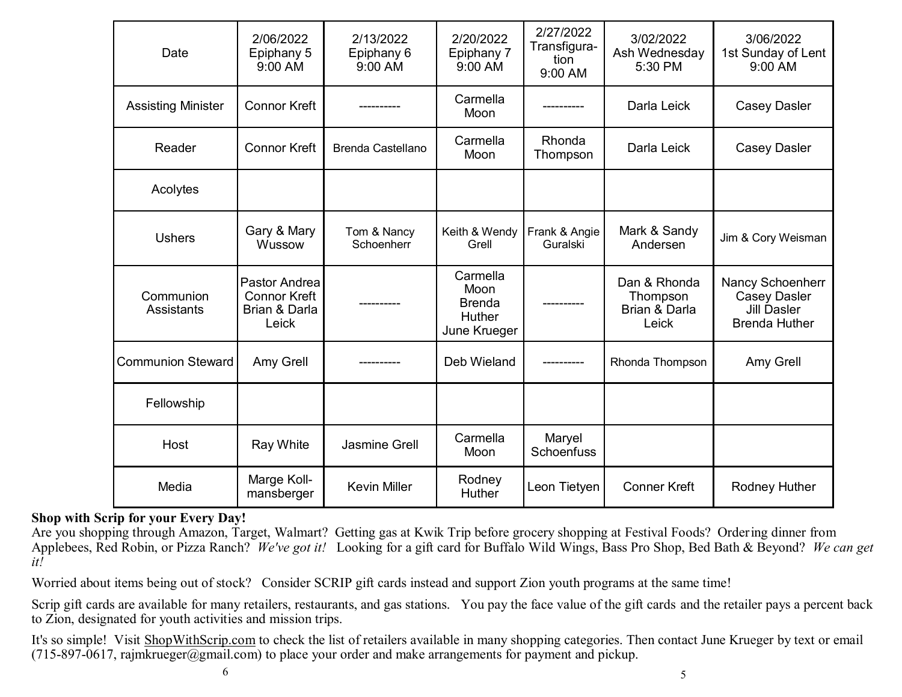| Date                      | 2/06/2022<br>Epiphany 5<br>$9:00$ AM                           | 2/13/2022<br>Epiphany 6<br>9:00 AM | 2/20/2022<br>Epiphany 7<br>9:00 AM                          | 2/27/2022<br>Transfigura-<br>tion<br>9:00 AM | 3/02/2022<br>Ash Wednesday<br>5:30 PM              | 3/06/2022<br>1st Sunday of Lent<br>9:00 AM                                            |  |
|---------------------------|----------------------------------------------------------------|------------------------------------|-------------------------------------------------------------|----------------------------------------------|----------------------------------------------------|---------------------------------------------------------------------------------------|--|
| <b>Assisting Minister</b> | <b>Connor Kreft</b>                                            |                                    | Carmella<br>Moon                                            |                                              | Darla Leick                                        | <b>Casey Dasler</b>                                                                   |  |
| Reader                    | <b>Connor Kreft</b>                                            | <b>Brenda Castellano</b>           | Carmella<br>Moon                                            | Rhonda<br>Thompson                           | Darla Leick                                        | <b>Casey Dasler</b>                                                                   |  |
| Acolytes                  |                                                                |                                    |                                                             |                                              |                                                    |                                                                                       |  |
| <b>Ushers</b>             | Gary & Mary<br>Wussow                                          | Tom & Nancy<br>Schoenherr          | Keith & Wendy<br>Grell                                      | Frank & Angie<br>Guralski                    | Mark & Sandy<br>Andersen                           | Jim & Cory Weisman                                                                    |  |
| Communion<br>Assistants   | Pastor Andrea<br><b>Connor Kreft</b><br>Brian & Darla<br>Leick |                                    | Carmella<br>Moon<br><b>Brenda</b><br>Huther<br>June Krueger |                                              | Dan & Rhonda<br>Thompson<br>Brian & Darla<br>Leick | Nancy Schoenherr<br><b>Casey Dasler</b><br><b>Jill Dasler</b><br><b>Brenda Huther</b> |  |
| <b>Communion Steward</b>  | Amy Grell                                                      |                                    | Deb Wieland                                                 |                                              | Rhonda Thompson                                    | Amy Grell                                                                             |  |
| Fellowship                |                                                                |                                    |                                                             |                                              |                                                    |                                                                                       |  |
| Host                      | Ray White                                                      | Jasmine Grell                      | Carmella<br>Moon                                            | Maryel<br>Schoenfuss                         |                                                    |                                                                                       |  |
| Media                     | Marge Koll-<br>mansberger                                      | <b>Kevin Miller</b>                | Rodney<br>Huther                                            | Leon Tietyen                                 | <b>Conner Kreft</b>                                | Rodney Huther                                                                         |  |

#### **Shop with Scrip for your Every Day!**

Are you shopping through Amazon, Target, Walmart? Getting gas at Kwik Trip before grocery shopping at Festival Foods? Ordering dinner from Applebees, Red Robin, or Pizza Ranch? *We've got it!* Looking for a gift card for Buffalo Wild Wings, Bass Pro Shop, Bed Bath & Beyond? *We can get it!*

Worried about items being out of stock? Consider SCRIP gift cards instead and support Zion youth programs at the same time!

Scrip gift cards are available for many retailers, restaurants, and gas stations. You pay the face value of the gift cards and the retailer pays a percent back to Zion, designated for youth activities and mission trips.

It's so simple! Visit ShopWithScrip.com to check the list of retailers available in many shopping categories. Then contact June Krueger by text or email (715-897-0617, rajmkrueger@gmail.com) to place your order and make arrangements for payment and pickup.